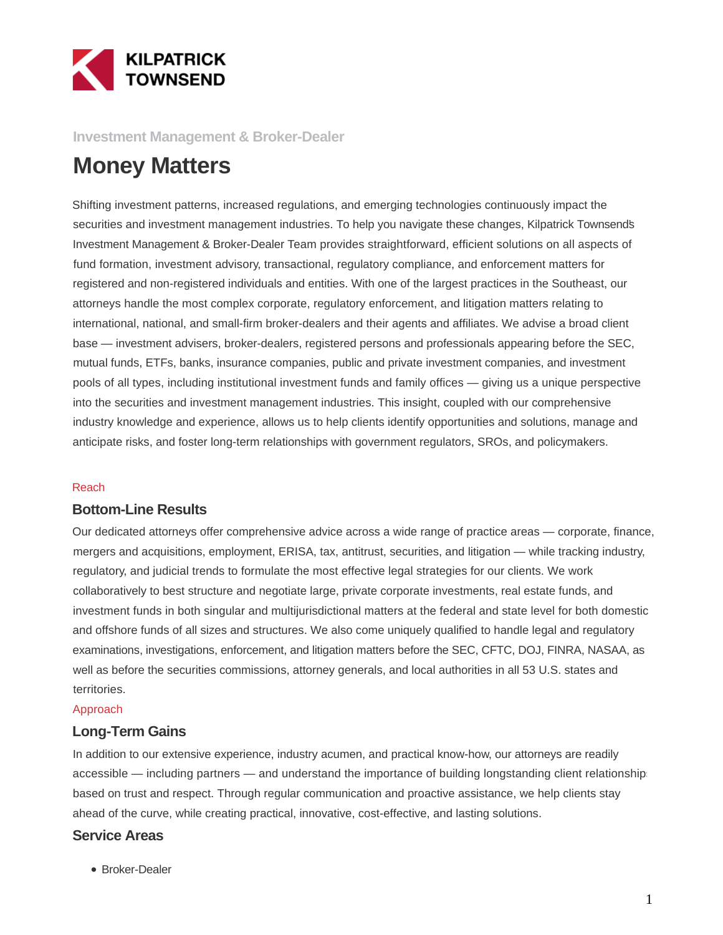

**Investment Management & Broker-Dealer**

# **Money Matters**

Shifting investment patterns, increased regulations, and emerging technologies continuously impact the securities and investment management industries. To help you navigate these changes, Kilpatrick Townsend's Investment Management & Broker-Dealer Team provides straightforward, efficient solutions on all aspects of fund formation, investment advisory, transactional, regulatory compliance, and enforcement matters for registered and non-registered individuals and entities. With one of the largest practices in the Southeast, our attorneys handle the most complex corporate, regulatory enforcement, and litigation matters relating to international, national, and small-firm broker-dealers and their agents and affiliates. We advise a broad client base — investment advisers, broker-dealers, registered persons and professionals appearing before the SEC, mutual funds, ETFs, banks, insurance companies, public and private investment companies, and investment pools of all types, including institutional investment funds and family offices — giving us a unique perspective into the securities and investment management industries. This insight, coupled with our comprehensive industry knowledge and experience, allows us to help clients identify opportunities and solutions, manage and anticipate risks, and foster long-term relationships with government regulators, SROs, and policymakers.

#### Reach

### **Bottom-Line Results**

Our dedicated attorneys offer comprehensive advice across a wide range of practice areas — corporate, finance, mergers and acquisitions, employment, ERISA, tax, antitrust, securities, and litigation — while tracking industry, regulatory, and judicial trends to formulate the most effective legal strategies for our clients. We work collaboratively to best structure and negotiate large, private corporate investments, real estate funds, and investment funds in both singular and multijurisdictional matters at the federal and state level for both domestic and offshore funds of all sizes and structures. We also come uniquely qualified to handle legal and regulatory examinations, investigations, enforcement, and litigation matters before the SEC, CFTC, DOJ, FINRA, NASAA, as well as before the securities commissions, attorney generals, and local authorities in all 53 U.S. states and territories.

#### Approach

### **Long-Term Gains**

In addition to our extensive experience, industry acumen, and practical know-how, our attorneys are readily accessible — including partners — and understand the importance of building longstanding client relationships based on trust and respect. Through regular communication and proactive assistance, we help clients stay ahead of the curve, while creating practical, innovative, cost-effective, and lasting solutions.

### **Service Areas**

Broker-Dealer